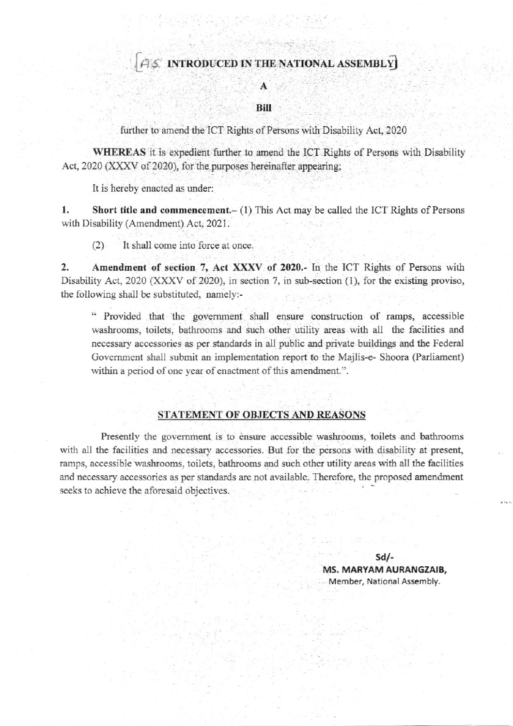## **A S' INTRODUCED IN THE NATIONAL ASSEMBLY**

## Bill

A

further to amend the ICT Rights of Persons with Disability Act, 2020

WHEREAS it is expedient further to amend the ICT Rights of Persons with Disability Act, 2020 (XXXV of 2020), for the purposes hereinafter appearing;

It is hereby enacted as under:

1. Short title and commencement. $- (1)$  This Act may be called the ICT Rights of Persons with Disability (Amendment) Act, 2021.

It shall come into force at once.  $(2)$ 

 $2.$ Amendment of section 7, Act XXXV of 2020.- In the ICT Rights of Persons with Disability Act, 2020 (XXXV of 2020), in section 7, in sub-section (1), for the existing proviso, the following shall be substituted, namely:-

" Provided that the government shall ensure construction of ramps, accessible washrooms, toilets, bathrooms and such other utility areas with all the facilities and necessary accessories as per standards in all public and private buildings and the Federal Government shall submit an implementation report to the Majlis-e- Shoora (Parliament) within a period of one year of enactment of this amendment.".

## STATEMENT OF OBJECTS AND REASONS

Presently the government is to ensure accessible washrooms, toilets and bathrooms with all the facilities and necessary accessories. But for the persons with disability at present, ramps, accessible washrooms, toilets, bathrooms and such other utility areas with all the facilities and necessary accessories as per standards are not available. Therefore, the proposed amendment seeks to achieve the aforesaid objectives.

> $Sd/-$ MS. MARYAM AURANGZAIB, Member, National Assembly.